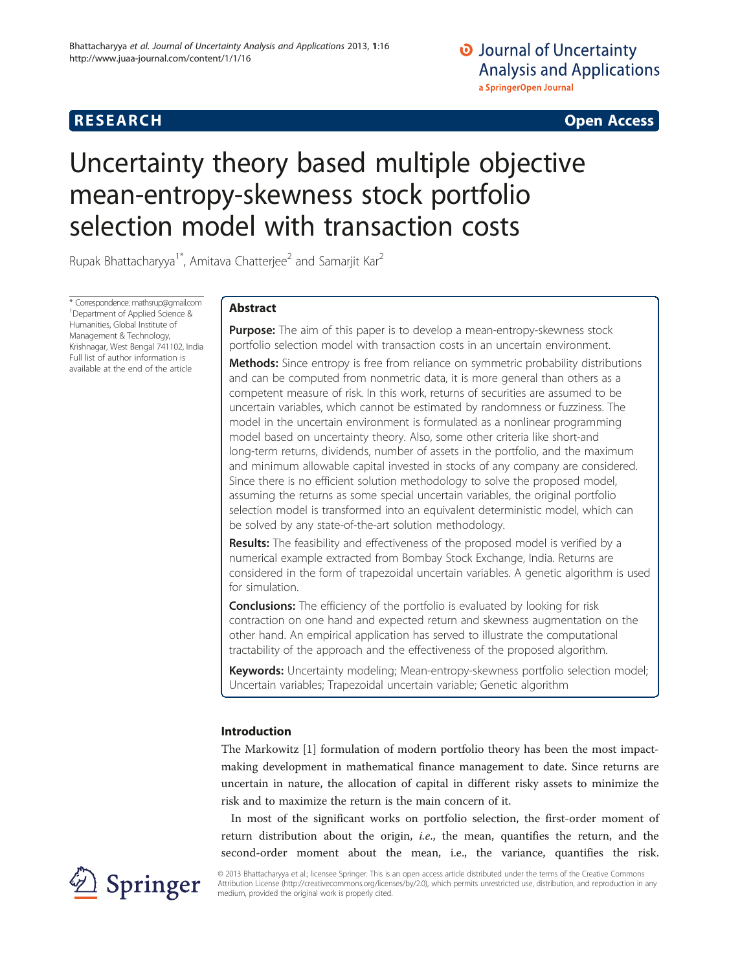# **RESEARCH RESEARCH CONSUMING ACCESS**

# Uncertainty theory based multiple objective mean-entropy-skewness stock portfolio selection model with transaction costs

Rupak Bhattacharyya<sup>1\*</sup>, Amitava Chatterjee<sup>2</sup> and Samarjit Kar<sup>2</sup>

\* Correspondence: [mathsrup@gmail.com](mailto:mathsrup@gmail.com) <sup>1</sup> <sup>1</sup> Department of Applied Science & Humanities, Global Institute of Management & Technology, Krishnagar, West Bengal 741102, India Full list of author information is available at the end of the article

# Abstract

**Purpose:** The aim of this paper is to develop a mean-entropy-skewness stock portfolio selection model with transaction costs in an uncertain environment.

Methods: Since entropy is free from reliance on symmetric probability distributions and can be computed from nonmetric data, it is more general than others as a competent measure of risk. In this work, returns of securities are assumed to be uncertain variables, which cannot be estimated by randomness or fuzziness. The model in the uncertain environment is formulated as a nonlinear programming model based on uncertainty theory. Also, some other criteria like short-and long-term returns, dividends, number of assets in the portfolio, and the maximum and minimum allowable capital invested in stocks of any company are considered. Since there is no efficient solution methodology to solve the proposed model, assuming the returns as some special uncertain variables, the original portfolio selection model is transformed into an equivalent deterministic model, which can be solved by any state-of-the-art solution methodology.

**Results:** The feasibility and effectiveness of the proposed model is verified by a numerical example extracted from Bombay Stock Exchange, India. Returns are considered in the form of trapezoidal uncertain variables. A genetic algorithm is used for simulation.

**Conclusions:** The efficiency of the portfolio is evaluated by looking for risk contraction on one hand and expected return and skewness augmentation on the other hand. An empirical application has served to illustrate the computational tractability of the approach and the effectiveness of the proposed algorithm.

Keywords: Uncertainty modeling; Mean-entropy-skewness portfolio selection model; Uncertain variables; Trapezoidal uncertain variable; Genetic algorithm

# Introduction

The Markowitz [[1\]](#page-15-0) formulation of modern portfolio theory has been the most impactmaking development in mathematical finance management to date. Since returns are uncertain in nature, the allocation of capital in different risky assets to minimize the risk and to maximize the return is the main concern of it.

In most of the significant works on portfolio selection, the first-order moment of return distribution about the origin, *i.e.*, the mean, quantifies the return, and the second-order moment about the mean, i.e., the variance, quantifies the risk.



© 2013 Bhattacharyya et al.; licensee Springer. This is an open access article distributed under the terms of the Creative Commons Attribution License [\(http://creativecommons.org/licenses/by/2.0\)](http://creativecommons.org/licenses/by/2.0), which permits unrestricted use, distribution, and reproduction in any medium, provided the original work is properly cited.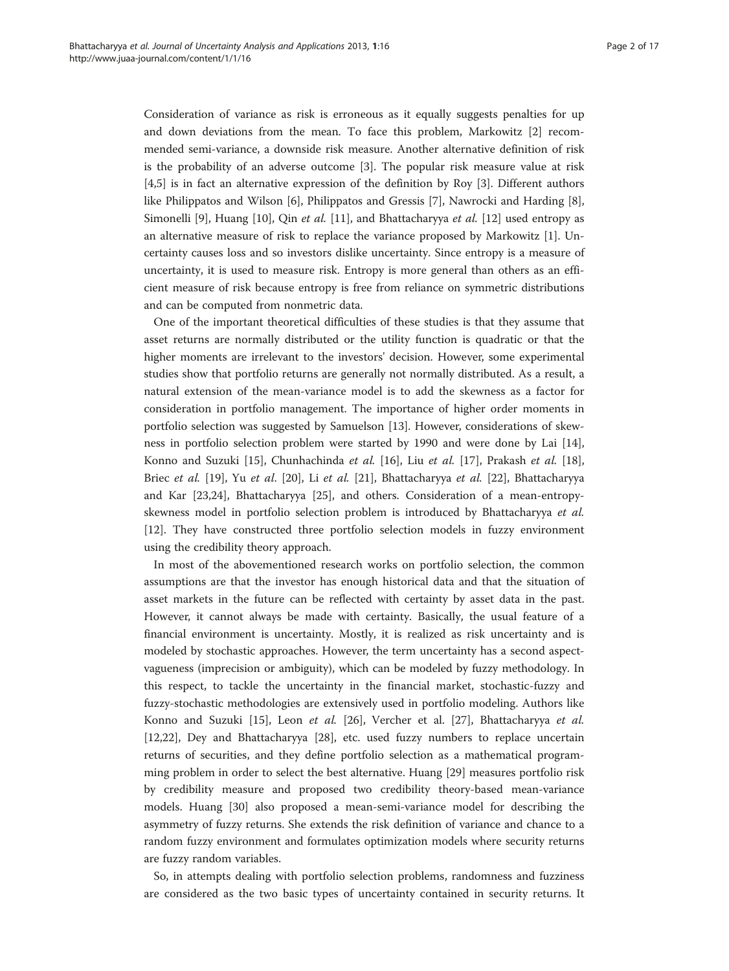Consideration of variance as risk is erroneous as it equally suggests penalties for up and down deviations from the mean. To face this problem, Markowitz [\[2\]](#page-15-0) recommended semi-variance, a downside risk measure. Another alternative definition of risk is the probability of an adverse outcome [\[3](#page-15-0)]. The popular risk measure value at risk [[4,5\]](#page-15-0) is in fact an alternative expression of the definition by Roy [[3\]](#page-15-0). Different authors like Philippatos and Wilson [[6\]](#page-15-0), Philippatos and Gressis [\[7](#page-16-0)], Nawrocki and Harding [\[8](#page-16-0)], Simonelli [\[9](#page-16-0)], Huang [\[10](#page-16-0)], Qin et al. [\[11\]](#page-16-0), and Bhattacharyya et al. [[12\]](#page-16-0) used entropy as an alternative measure of risk to replace the variance proposed by Markowitz [[1\]](#page-15-0). Uncertainty causes loss and so investors dislike uncertainty. Since entropy is a measure of uncertainty, it is used to measure risk. Entropy is more general than others as an efficient measure of risk because entropy is free from reliance on symmetric distributions and can be computed from nonmetric data.

One of the important theoretical difficulties of these studies is that they assume that asset returns are normally distributed or the utility function is quadratic or that the higher moments are irrelevant to the investors' decision. However, some experimental studies show that portfolio returns are generally not normally distributed. As a result, a natural extension of the mean-variance model is to add the skewness as a factor for consideration in portfolio management. The importance of higher order moments in portfolio selection was suggested by Samuelson [[13](#page-16-0)]. However, considerations of skewness in portfolio selection problem were started by 1990 and were done by Lai [[14](#page-16-0)], Konno and Suzuki [[15](#page-16-0)], Chunhachinda et al. [[16\]](#page-16-0), Liu et al. [[17\]](#page-16-0), Prakash et al. [[18](#page-16-0)], Briec et al. [[19\]](#page-16-0), Yu et al. [\[20](#page-16-0)], Li et al. [[21\]](#page-16-0), Bhattacharyya et al. [\[22](#page-16-0)], Bhattacharyya and Kar [[23](#page-16-0),[24](#page-16-0)], Bhattacharyya [\[25](#page-16-0)], and others. Consideration of a mean-entropyskewness model in portfolio selection problem is introduced by Bhattacharyya et al. [[12\]](#page-16-0). They have constructed three portfolio selection models in fuzzy environment using the credibility theory approach.

In most of the abovementioned research works on portfolio selection, the common assumptions are that the investor has enough historical data and that the situation of asset markets in the future can be reflected with certainty by asset data in the past. However, it cannot always be made with certainty. Basically, the usual feature of a financial environment is uncertainty. Mostly, it is realized as risk uncertainty and is modeled by stochastic approaches. However, the term uncertainty has a second aspectvagueness (imprecision or ambiguity), which can be modeled by fuzzy methodology. In this respect, to tackle the uncertainty in the financial market, stochastic-fuzzy and fuzzy-stochastic methodologies are extensively used in portfolio modeling. Authors like Konno and Suzuki [[15](#page-16-0)], Leon et al. [[26\]](#page-16-0), Vercher et al. [[27\]](#page-16-0), Bhattacharyya et al. [[12,22\]](#page-16-0), Dey and Bhattacharyya [\[28\]](#page-16-0), etc. used fuzzy numbers to replace uncertain returns of securities, and they define portfolio selection as a mathematical programming problem in order to select the best alternative. Huang [[29](#page-16-0)] measures portfolio risk by credibility measure and proposed two credibility theory-based mean-variance models. Huang [\[30\]](#page-16-0) also proposed a mean-semi-variance model for describing the asymmetry of fuzzy returns. She extends the risk definition of variance and chance to a random fuzzy environment and formulates optimization models where security returns are fuzzy random variables.

So, in attempts dealing with portfolio selection problems, randomness and fuzziness are considered as the two basic types of uncertainty contained in security returns. It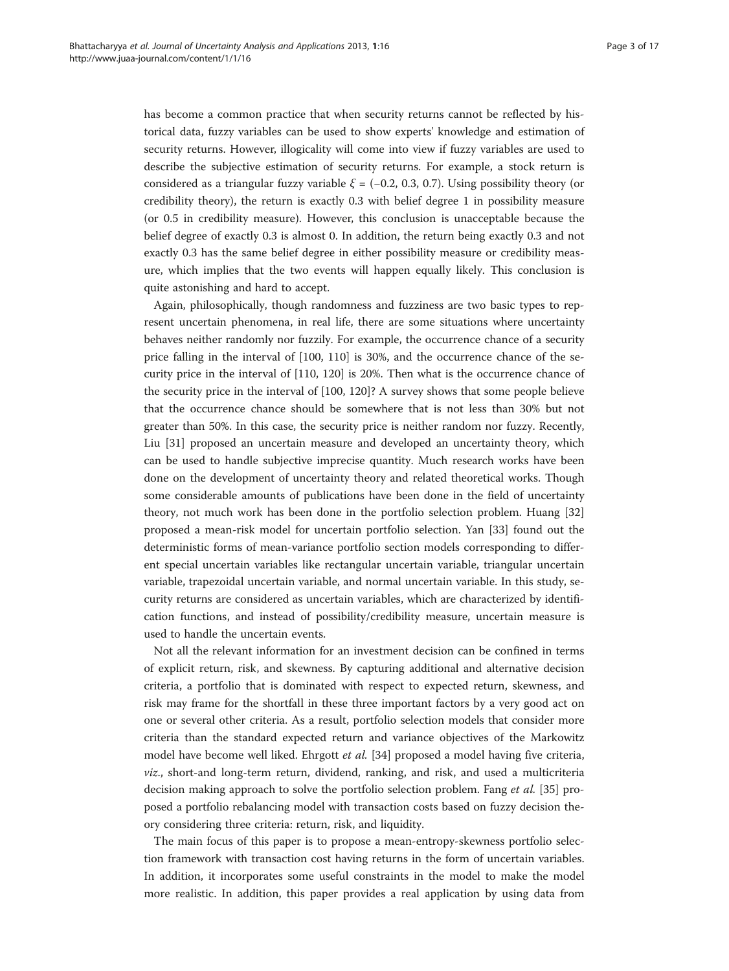has become a common practice that when security returns cannot be reflected by historical data, fuzzy variables can be used to show experts' knowledge and estimation of security returns. However, illogicality will come into view if fuzzy variables are used to describe the subjective estimation of security returns. For example, a stock return is considered as a triangular fuzzy variable  $\xi = (-0.2, 0.3, 0.7)$ . Using possibility theory (or credibility theory), the return is exactly 0.3 with belief degree 1 in possibility measure (or 0.5 in credibility measure). However, this conclusion is unacceptable because the belief degree of exactly 0.3 is almost 0. In addition, the return being exactly 0.3 and not exactly 0.3 has the same belief degree in either possibility measure or credibility measure, which implies that the two events will happen equally likely. This conclusion is quite astonishing and hard to accept.

Again, philosophically, though randomness and fuzziness are two basic types to represent uncertain phenomena, in real life, there are some situations where uncertainty behaves neither randomly nor fuzzily. For example, the occurrence chance of a security price falling in the interval of [100, 110] is 30%, and the occurrence chance of the security price in the interval of [110, 120] is 20%. Then what is the occurrence chance of the security price in the interval of [100, 120]? A survey shows that some people believe that the occurrence chance should be somewhere that is not less than 30% but not greater than 50%. In this case, the security price is neither random nor fuzzy. Recently, Liu [\[31](#page-16-0)] proposed an uncertain measure and developed an uncertainty theory, which can be used to handle subjective imprecise quantity. Much research works have been done on the development of uncertainty theory and related theoretical works. Though some considerable amounts of publications have been done in the field of uncertainty theory, not much work has been done in the portfolio selection problem. Huang [[32](#page-16-0)] proposed a mean-risk model for uncertain portfolio selection. Yan [[33\]](#page-16-0) found out the deterministic forms of mean-variance portfolio section models corresponding to different special uncertain variables like rectangular uncertain variable, triangular uncertain variable, trapezoidal uncertain variable, and normal uncertain variable. In this study, security returns are considered as uncertain variables, which are characterized by identification functions, and instead of possibility/credibility measure, uncertain measure is used to handle the uncertain events.

Not all the relevant information for an investment decision can be confined in terms of explicit return, risk, and skewness. By capturing additional and alternative decision criteria, a portfolio that is dominated with respect to expected return, skewness, and risk may frame for the shortfall in these three important factors by a very good act on one or several other criteria. As a result, portfolio selection models that consider more criteria than the standard expected return and variance objectives of the Markowitz model have become well liked. Ehrgott et al. [[34](#page-16-0)] proposed a model having five criteria, viz., short-and long-term return, dividend, ranking, and risk, and used a multicriteria decision making approach to solve the portfolio selection problem. Fang et al. [\[35\]](#page-16-0) proposed a portfolio rebalancing model with transaction costs based on fuzzy decision theory considering three criteria: return, risk, and liquidity.

The main focus of this paper is to propose a mean-entropy-skewness portfolio selection framework with transaction cost having returns in the form of uncertain variables. In addition, it incorporates some useful constraints in the model to make the model more realistic. In addition, this paper provides a real application by using data from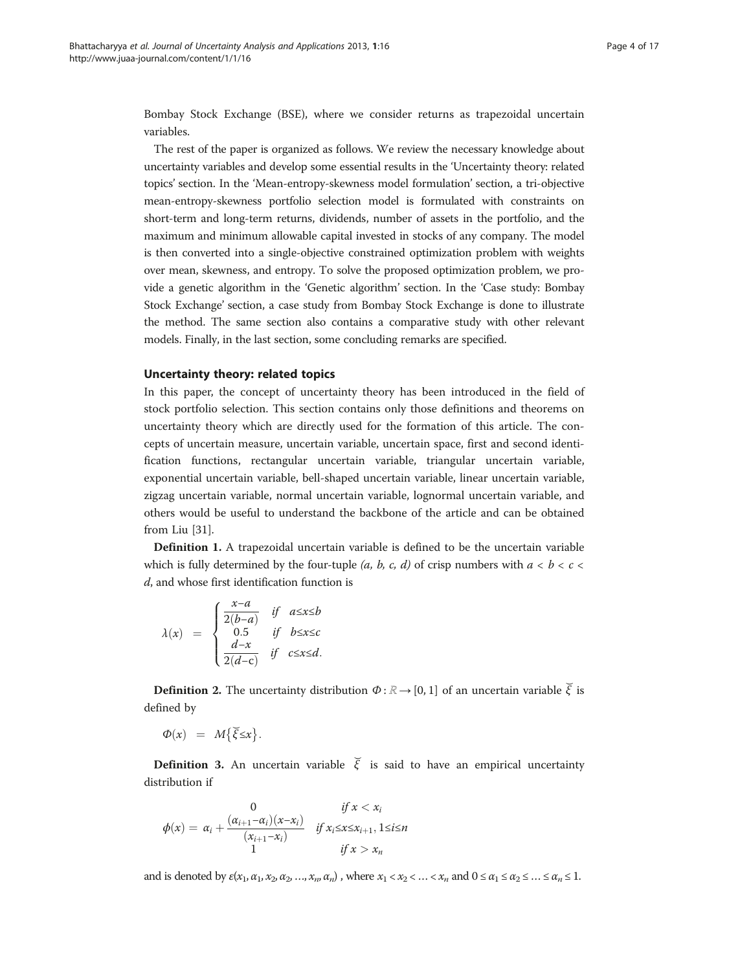Bombay Stock Exchange (BSE), where we consider returns as trapezoidal uncertain variables.

The rest of the paper is organized as follows. We review the necessary knowledge about uncertainty variables and develop some essential results in the 'Uncertainty theory: related topics' section. In the '[Mean-entropy-skewness model formulation](#page-5-0)' section, a tri-objective mean-entropy-skewness portfolio selection model is formulated with constraints on short-term and long-term returns, dividends, number of assets in the portfolio, and the maximum and minimum allowable capital invested in stocks of any company. The model is then converted into a single-objective constrained optimization problem with weights over mean, skewness, and entropy. To solve the proposed optimization problem, we provide a genetic algorithm in the '[Genetic algorithm](#page-8-0)' section. In the '[Case study: Bombay](#page-11-0) [Stock Exchange](#page-11-0)' section, a case study from Bombay Stock Exchange is done to illustrate the method. The same section also contains a comparative study with other relevant models. Finally, in the last section, some concluding remarks are specified.

# Uncertainty theory: related topics

In this paper, the concept of uncertainty theory has been introduced in the field of stock portfolio selection. This section contains only those definitions and theorems on uncertainty theory which are directly used for the formation of this article. The concepts of uncertain measure, uncertain variable, uncertain space, first and second identification functions, rectangular uncertain variable, triangular uncertain variable, exponential uncertain variable, bell-shaped uncertain variable, linear uncertain variable, zigzag uncertain variable, normal uncertain variable, lognormal uncertain variable, and others would be useful to understand the backbone of the article and can be obtained from Liu [[31\]](#page-16-0).

Definition 1. A trapezoidal uncertain variable is defined to be the uncertain variable which is fully determined by the four-tuple (*a*, *b*, *c*, *d*) of crisp numbers with  $a < b < c$ d, and whose first identification function is

$$
\lambda(x) = \begin{cases} \frac{x-a}{2(b-a)} & \text{if } a \leq x \leq b \\ 0.5 & \text{if } b \leq x \leq c \\ \frac{d-x}{2(d-c)} & \text{if } c \leq x \leq d. \end{cases}
$$

**Definition 2.** The uncertainty distribution  $\Phi$ :  $\mathbb{R} \rightarrow [0, 1]$  of an uncertain variable  $\tilde{\zeta}$  is defined by

$$
\Phi(x) = M\{\breve{\xi} \leq x\}.
$$

**Definition 3.** An uncertain variable  $\tilde{\zeta}$  is said to have an empirical uncertainty distribution if

$$
\phi(x) = \alpha_i + \frac{( \alpha_{i+1} - \alpha_i)(x - x_i)}{(x_{i+1} - x_i)} \quad \text{if } x_i \leq x \leq x_{i+1}, 1 \leq i \leq n
$$
  
1 *if*  $x > x_n$ 

and is denoted by  $\varepsilon(x_1, \alpha_1, x_2, \alpha_2, ..., x_n, \alpha_n)$ , where  $x_1 < x_2 < ... < x_n$  and  $0 \le \alpha_1 \le \alpha_2 \le ... \le \alpha_n \le 1$ .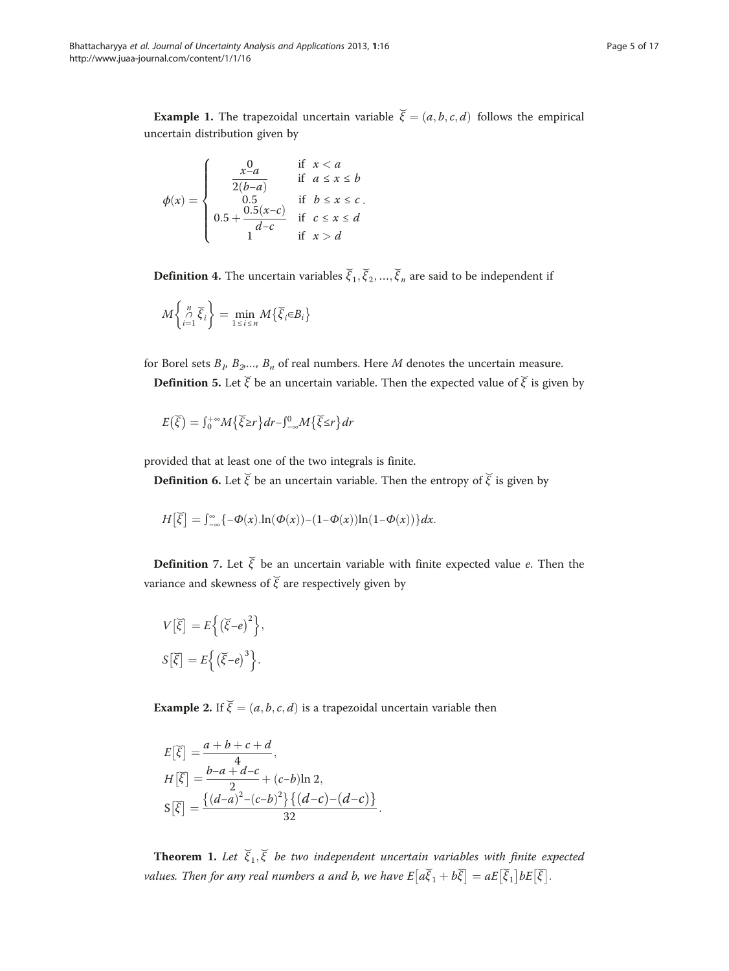<span id="page-4-0"></span>**Example 1.** The trapezoidal uncertain variable  $\vec{\xi} = (a, b, c, d)$  follows the empirical uncertain distribution given by

$$
\phi(x) = \begin{cases}\n\frac{x^0 a}{2(b-a)} & \text{if } x < a \\
\frac{0.5}{0.5} & \text{if } b \leq x \leq b \\
0.5 + \frac{0.5(x-c)}{d-c} & \text{if } c \leq x \leq d \\
1 & \text{if } x > d\n\end{cases}
$$

**Definition 4.** The uncertain variables  $\vec{\zeta}_1, \vec{\zeta}_2, ..., \vec{\zeta}_n$  are said to be independent if

$$
M\left\{\underset{i=1}{\overset{n}{\wedge}}\widetilde{\xi}_{i}\right\} = \underset{1\leq i\leq n}{\min}M\left\{\widetilde{\xi}_{i}\in B_{i}\right\}
$$

for Borel sets  $B_1, B_2, \ldots, B_n$  of real numbers. Here M denotes the uncertain measure.

**Definition 5.** Let  $\vec{\xi}$  be an uncertain variable. Then the expected value of  $\vec{\xi}$  is given by

$$
E(\widetilde{\xi}) = \int_0^{+\infty} M\{\widetilde{\xi} \ge r\} dr - \int_{-\infty}^0 M\{\widetilde{\xi} \le r\} dr
$$

provided that at least one of the two integrals is finite.

**Definition 6.** Let  $\vec{\xi}$  be an uncertain variable. Then the entropy of  $\vec{\xi}$  is given by

$$
H\big[\widetilde{\xi}\big] = \int_{-\infty}^{\infty} \{-\Phi(x) \ln(\Phi(x)) - (1-\Phi(x))\ln(1-\Phi(x))\} dx.
$$

**Definition** 7. Let  $\vec{\xi}$  be an uncertain variable with finite expected value e. Then the variance and skewness of  $\breve{\xi}$  are respectively given by

$$
V[\overline{\xi}] = E\left\{ (\overline{\xi} - e)^2 \right\},\
$$

$$
S[\overline{\xi}] = E\left\{ (\overline{\xi} - e)^3 \right\}.
$$

**Example 2.** If  $\vec{\xi} = (a, b, c, d)$  is a trapezoidal uncertain variable then

$$
E[\tilde{\xi}] = \frac{a+b+c+d}{4},
$$
  
\n
$$
H[\tilde{\xi}] = \frac{b-a+d-c}{2} + (c-b)\ln 2,
$$
  
\n
$$
S[\tilde{\xi}] = \frac{\{(d-a)^2 - (c-b)^2\}\{(d-c) - (d-c)\}}{32}.
$$

**Theorem 1.** Let  $\vec{\xi}_1, \vec{\xi}$  be two independent uncertain variables with finite expected values. Then for any real numbers a and b, we have  $E\big[a\overline{\xi}_1+b\overline{\xi}\big] = aE\big[\overline{\xi}_1\big]bE\big[\overline{\xi}\big].$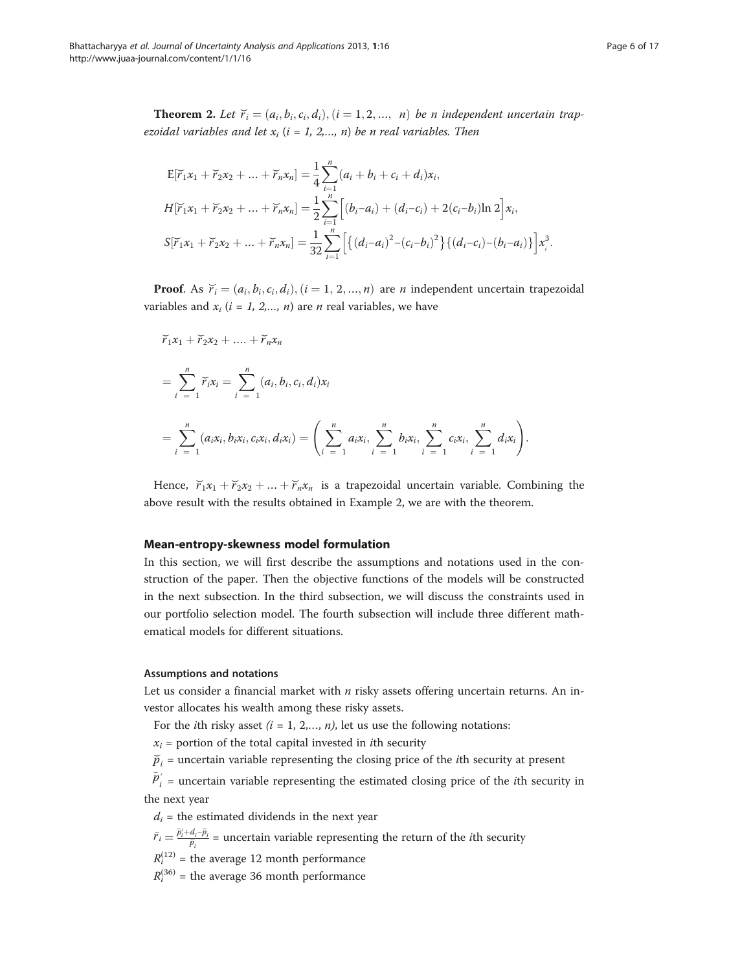<span id="page-5-0"></span>**Theorem 2.** Let  $\overline{r}_i = (a_i, b_i, c_i, d_i), (i = 1, 2, ..., n)$  be n independent uncertain trapezoidal variables and let  $x_i$  (i = 1, 2,..., n) be n real variables. Then

$$
E[\widetilde{r}_1x_1 + \widetilde{r}_2x_2 + \dots + \widetilde{r}_nx_n] = \frac{1}{4} \sum_{i=1}^n (a_i + b_i + c_i + d_i)x_i,
$$
  
\n
$$
H[\widetilde{r}_1x_1 + \widetilde{r}_2x_2 + \dots + \widetilde{r}_nx_n] = \frac{1}{2} \sum_{i=1}^n \Big[ (b_i - a_i) + (d_i - c_i) + 2(c_i - b_i) \ln 2 \Big] x_i,
$$
  
\n
$$
S[\widetilde{r}_1x_1 + \widetilde{r}_2x_2 + \dots + \widetilde{r}_nx_n] = \frac{1}{32} \sum_{i=1}^n \Big[ \{ (d_i - a_i)^2 - (c_i - b_i)^2 \} \{ (d_i - c_i) - (b_i - a_i) \} \Big] x_i^3.
$$

**Proof.** As  $\overline{r}_i = (a_i, b_i, c_i, d_i), (i = 1, 2, ..., n)$  are *n* independent uncertain trapezoidal variables and  $x_i$  ( $i = 1, 2,..., n$ ) are *n* real variables, we have

$$
\overline{r}_{1}x_{1} + \overline{r}_{2}x_{2} + \dots + \overline{r}_{n}x_{n}
$$
\n
$$
= \sum_{i=1}^{n} \overline{r}_{i}x_{i} = \sum_{i=1}^{n} (a_{i}, b_{i}, c_{i}, d_{i})x_{i}
$$
\n
$$
= \sum_{i=1}^{n} (a_{i}x_{i}, b_{i}x_{i}, c_{i}x_{i}, d_{i}x_{i}) = \left(\sum_{i=1}^{n} a_{i}x_{i}, \sum_{i=1}^{n} b_{i}x_{i}, \sum_{i=1}^{n} c_{i}x_{i}, \sum_{i=1}^{n} d_{i}x_{i}\right).
$$

Hence,  $\overline{r}_1 x_1 + \overline{r}_2 x_2 + \dots + \overline{r}_n x_n$  is a trapezoidal uncertain variable. Combining the above result with the results obtained in Example [2](#page-4-0), we are with the theorem.

# Mean-entropy-skewness model formulation

In this section, we will first describe the assumptions and notations used in the construction of the paper. Then the objective functions of the models will be constructed in the next subsection. In the third subsection, we will discuss the constraints used in our portfolio selection model. The fourth subsection will include three different mathematical models for different situations.

# Assumptions and notations

Let us consider a financial market with  $n$  risky assets offering uncertain returns. An investor allocates his wealth among these risky assets.

For the *i*th risky asset  $(i = 1, 2,..., n)$ , let us use the following notations:

 $x_i$  = portion of the total capital invested in *i*th security

 $\breve{p}_i$  = uncertain variable representing the closing price of the *i*th security at present

 $\breve{p}'_i$  = uncertain variable representing the estimated closing price of the *i*th security in the next year

 $d_i$  = the estimated dividends in the next year

 $\widetilde{r}_i = \frac{\widetilde{p}'_i + d_i - \widetilde{p}_i}{\widetilde{p}_i}$  = uncertain variable representing the return of the *i*th security

 $R_i^{(12)}$  = the average 12 month performance

 $R_i^{(36)}$  = the average 36 month performance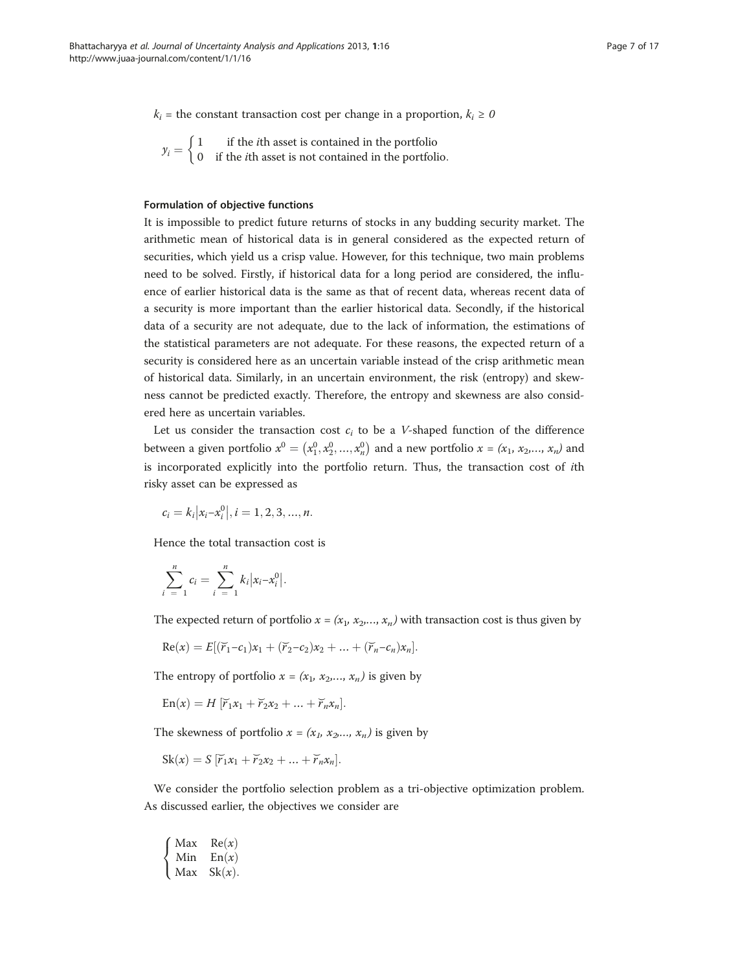$k_i$  = the constant transaction cost per change in a proportion,  $k_i \ge 0$ 

 $y_i = \begin{cases} 1 & \text{if the } i\text{th asset is contained in the portfolio} \\ 0 & \text{if the } i\text{th asset is not contained in the portfolio.} \end{cases}$  $\int$ 

# Formulation of objective functions

It is impossible to predict future returns of stocks in any budding security market. The arithmetic mean of historical data is in general considered as the expected return of securities, which yield us a crisp value. However, for this technique, two main problems need to be solved. Firstly, if historical data for a long period are considered, the influence of earlier historical data is the same as that of recent data, whereas recent data of a security is more important than the earlier historical data. Secondly, if the historical data of a security are not adequate, due to the lack of information, the estimations of the statistical parameters are not adequate. For these reasons, the expected return of a security is considered here as an uncertain variable instead of the crisp arithmetic mean of historical data. Similarly, in an uncertain environment, the risk (entropy) and skewness cannot be predicted exactly. Therefore, the entropy and skewness are also considered here as uncertain variables.

Let us consider the transaction cost  $c_i$  to be a *V*-shaped function of the difference between a given portfolio  $x^0 = (x_1^0, x_2^0, ..., x_n^0)$  and a new portfolio  $x = (x_1, x_2, ..., x_n)$  and is incorporated explicitly into the portfolio return. Thus, the transaction cost of ith risky asset can be expressed as

$$
c_i = k_i |x_i - x_i^0|, i = 1, 2, 3, ..., n.
$$

Hence the total transaction cost is

$$
\sum_{i=1}^{n} c_i = \sum_{i=1}^{n} k_i |x_i - x_i^0|.
$$

The expected return of portfolio  $x = (x_1, x_2, \ldots, x_n)$  with transaction cost is thus given by

Re(*x*) = 
$$
E[(\widetilde{r}_1-c_1)x_1 + (\widetilde{r}_2-c_2)x_2 + ... + (\widetilde{r}_n-c_n)x_n].
$$

The entropy of portfolio  $x = (x_1, x_2, ..., x_n)$  is given by

 $\text{En}(x) = H \left[ \breve{r}_1 x_1 + \breve{r}_2 x_2 + \dots + \breve{r}_n x_n \right].$ 

The skewness of portfolio  $x = (x_1, x_2, \ldots, x_n)$  is given by

$$
Sk(x) = S [\bar{r}_1 x_1 + \bar{r}_2 x_2 + ... + \bar{r}_n x_n].
$$

We consider the portfolio selection problem as a tri-objective optimization problem. As discussed earlier, the objectives we consider are

$$
\begin{cases}\n\text{Max} & \text{Re}(x) \\
\text{Min} & \text{En}(x) \\
\text{Max} & \text{Sk}(x).\n\end{cases}
$$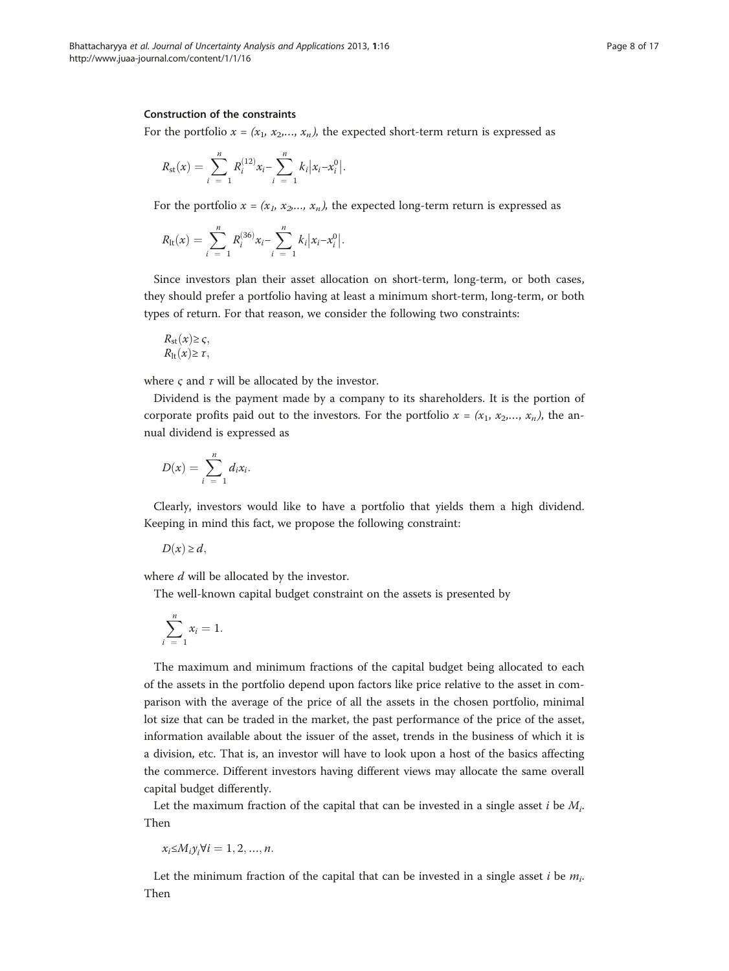# Construction of the constraints

For the portfolio  $x = (x_1, x_2, ..., x_n)$ , the expected short-term return is expressed as

$$
R_{\rm st}(x) = \sum_{i=1}^{n} R_i^{(12)} x_i - \sum_{i=1}^{n} k_i |x_i - x_i^0|.
$$

For the portfolio  $x = (x_1, x_2, \ldots, x_n)$ , the expected long-term return is expressed as

$$
R_{\rm{lt}}(x) = \sum_{i=1}^{n} R_{i}^{(36)} x_{i} - \sum_{i=1}^{n} k_{i} |x_{i} - x_{i}^{0}|.
$$

Since investors plan their asset allocation on short-term, long-term, or both cases, they should prefer a portfolio having at least a minimum short-term, long-term, or both types of return. For that reason, we consider the following two constraints:

$$
R_{\rm st}(x) \geq \varsigma,
$$
  

$$
R_{\rm lt}(x) \geq \tau,
$$

where  $\varsigma$  and  $\tau$  will be allocated by the investor.

Dividend is the payment made by a company to its shareholders. It is the portion of corporate profits paid out to the investors. For the portfolio  $x = (x_1, x_2, ..., x_n)$ , the annual dividend is expressed as

$$
D(x)=\sum_{i=1}^n d_i x_i.
$$

Clearly, investors would like to have a portfolio that yields them a high dividend. Keeping in mind this fact, we propose the following constraint:

$$
D(x) \geq d,
$$

where  $d$  will be allocated by the investor.

The well-known capital budget constraint on the assets is presented by

$$
\sum_{i=1}^{n} x_i = 1.
$$

The maximum and minimum fractions of the capital budget being allocated to each of the assets in the portfolio depend upon factors like price relative to the asset in comparison with the average of the price of all the assets in the chosen portfolio, minimal lot size that can be traded in the market, the past performance of the price of the asset, information available about the issuer of the asset, trends in the business of which it is a division, etc. That is, an investor will have to look upon a host of the basics affecting the commerce. Different investors having different views may allocate the same overall capital budget differently.

Let the maximum fraction of the capital that can be invested in a single asset i be  $M_i$ . Then

 $x_i \leq M_i y_i \forall i = 1, 2, ..., n.$ 

Let the minimum fraction of the capital that can be invested in a single asset i be  $m_i$ . Then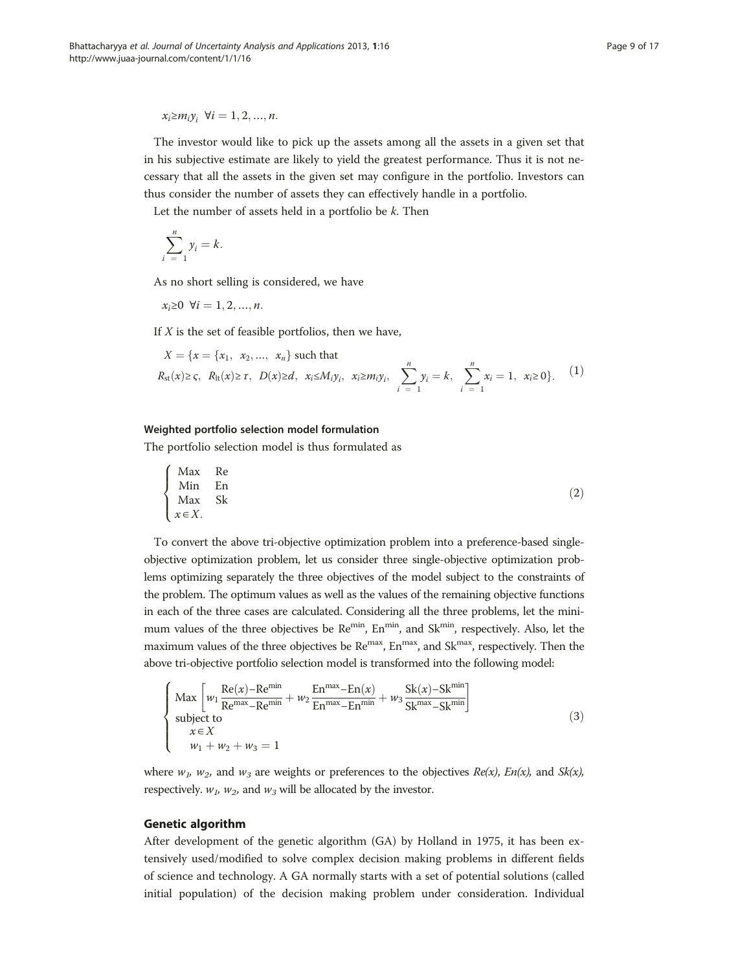<span id="page-8-0"></span> $x_i \geq m_i y_i$ ,  $\forall i = 1, 2, ..., n$ .

The investor would like to pick up the assets among all the assets in a given set that in his subjective estimate are likely to yield the greatest performance. Thus it is not necessary that all the assets in the given set may configure in the portfolio. Investors can thus consider the number of assets they can effectively handle in a portfolio.

Let the number of assets held in a portfolio be  $k$ . Then

$$
\sum_{i=1}^{n} y_i = k.
$$

As no short selling is considered, we have

$$
x_i \ge 0 \ \forall i = 1, 2, ..., n.
$$

If  $X$  is the set of feasible portfolios, then we have,

$$
X = \{x = \{x_1, x_2, ..., x_n\} \text{ such that}
$$
  

$$
R_{st}(x) \ge \varsigma, R_{lt}(x) \ge \tau, D(x) \ge d, x_i \le M_i y_i, x_i \ge m_i y_i, \sum_{i=1}^{n} y_i = k, \sum_{i=1}^{n} x_i = 1, x_i \ge 0\}.
$$
 (1)

# Weighted portfolio selection model formulation

The portfolio selection model is thus formulated as

$$
\begin{cases}\n\text{Max} & \text{Re} \\
\text{Min} & \text{En} \\
\text{Max} & \text{Sk} \\
x \in X.\n\end{cases} (2)
$$

To convert the above tri-objective optimization problem into a preference-based singleobjective optimization problem, let us consider three single-objective optimization problems optimizing separately the three objectives of the model subject to the constraints of the problem. The optimum values as well as the values of the remaining objective functions in each of the three cases are calculated. Considering all the three problems, let the minimum values of the three objectives be  $\text{Re}^{\text{min}}$ ,  $\text{En}^{\text{min}}$ , and  $\text{Sk}^{\text{min}}$ , respectively. Also, let the maximum values of the three objectives be Re<sup>max</sup>, En<sup>max</sup>, and Sk<sup>max</sup>, respectively. Then the above tri-objective portfolio selection model is transformed into the following model:

$$
\begin{cases}\n\text{Max} \left[ w_1 \frac{\text{Re}(x) - \text{Re}^{\text{min}}}{\text{Re}^{\text{max}} - \text{Re}^{\text{min}}} + w_2 \frac{\text{En}^{\text{max}} - \text{En}(x)}{\text{En}^{\text{max}} - \text{En}^{\text{min}}} + w_3 \frac{\text{Sk}(x) - \text{Sk}^{\text{min}}}{\text{Sk}^{\text{max}} - \text{Sk}^{\text{min}}} \right] \\
\text{subject to} \\
x \in X \\
w_1 + w_2 + w_3 = 1\n\end{cases} \tag{3}
$$

where  $w_1$ ,  $w_2$ , and  $w_3$  are weights or preferences to the objectives  $Re(x)$ ,  $En(x)$ , and  $Sk(x)$ , respectively.  $w_1$ ,  $w_2$ , and  $w_3$  will be allocated by the investor.

# Genetic algorithm

After development of the genetic algorithm (GA) by Holland in 1975, it has been extensively used/modified to solve complex decision making problems in different fields of science and technology. A GA normally starts with a set of potential solutions (called initial population) of the decision making problem under consideration. Individual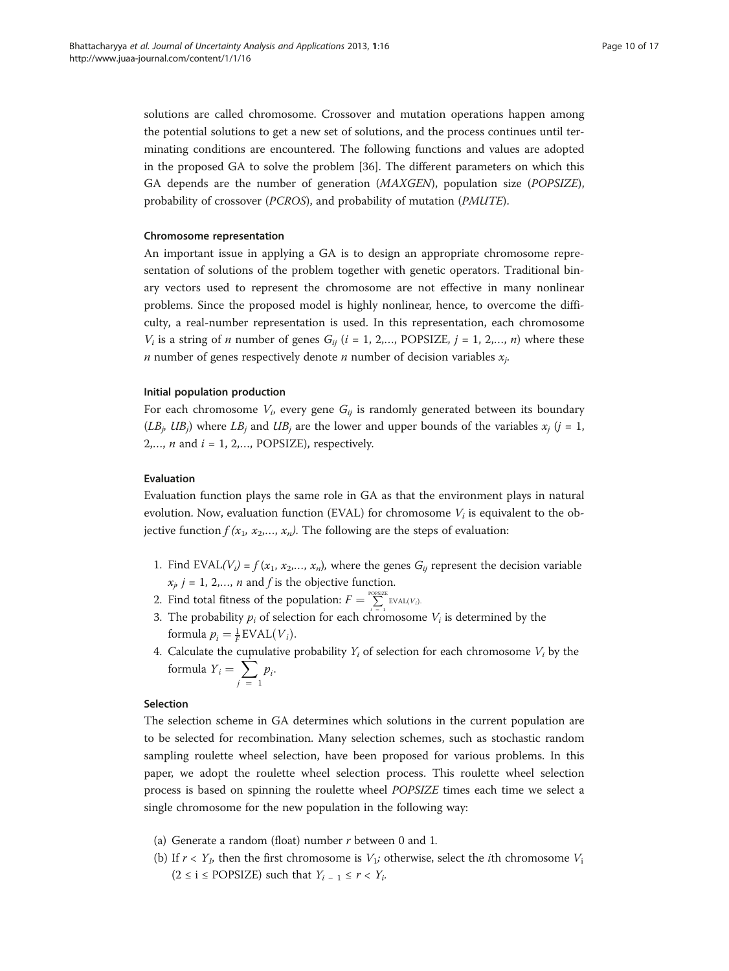solutions are called chromosome. Crossover and mutation operations happen among the potential solutions to get a new set of solutions, and the process continues until terminating conditions are encountered. The following functions and values are adopted in the proposed GA to solve the problem [\[36](#page-16-0)]. The different parameters on which this GA depends are the number of generation (MAXGEN), population size (POPSIZE), probability of crossover (PCROS), and probability of mutation (PMUTE).

# Chromosome representation

An important issue in applying a GA is to design an appropriate chromosome representation of solutions of the problem together with genetic operators. Traditional binary vectors used to represent the chromosome are not effective in many nonlinear problems. Since the proposed model is highly nonlinear, hence, to overcome the difficulty, a real-number representation is used. In this representation, each chromosome  $V_i$  is a string of *n* number of genes  $G_{ij}$  ( $i = 1, 2,...,$  POPSIZE,  $j = 1, 2,..., n$ ) where these *n* number of genes respectively denote *n* number of decision variables  $x_i$ .

# Initial population production

For each chromosome  $V_i$ , every gene  $G_{ii}$  is randomly generated between its boundary  $(LB_i, UB_i)$  where  $LB_i$  and  $UB_i$  are the lower and upper bounds of the variables  $x_i$  (j = 1,  $2, \ldots, n$  and  $i = 1, 2, \ldots$ , POPSIZE), respectively.

# Evaluation

Evaluation function plays the same role in GA as that the environment plays in natural evolution. Now, evaluation function (EVAL) for chromosome  $V_i$  is equivalent to the objective function  $f(x_1, x_2,..., x_n)$ . The following are the steps of evaluation:

- 1. Find EVAL( $V_i$ ) =  $f(x_1, x_2,..., x_n)$ , where the genes  $G_{ii}$  represent the decision variable  $x_{i}$   $j = 1, 2,..., n$  and f is the objective function.
- 2. Find total fitness of the population:  $F = \sum_{i=1}^{\text{POSIZE}} EVAL(V_i)$
- 3. The probability  $p_i$  of selection for each chromosome  $V_i$  is determined by the formula  $p_i = \frac{1}{F}$  EVAL $(V_i)$ .
- 4. Calculate the cumulative probability  $Y_i$  of selection for each chromosome  $V_i$  by the formula  $Y_i = \sum_{j=1}^{n}$  $p_i$ .

# Selection

The selection scheme in GA determines which solutions in the current population are to be selected for recombination. Many selection schemes, such as stochastic random sampling roulette wheel selection, have been proposed for various problems. In this paper, we adopt the roulette wheel selection process. This roulette wheel selection process is based on spinning the roulette wheel POPSIZE times each time we select a single chromosome for the new population in the following way:

- (a) Generate a random (float) number  $r$  between 0 and 1.
- (b) If  $r < Y_1$ , then the first chromosome is  $V_1$ ; otherwise, select the *i*th chromosome  $V_1$  $(2 \le i \le \text{POPSIZE})$  such that  $Y_{i-1} \le r < Y_{i}$ .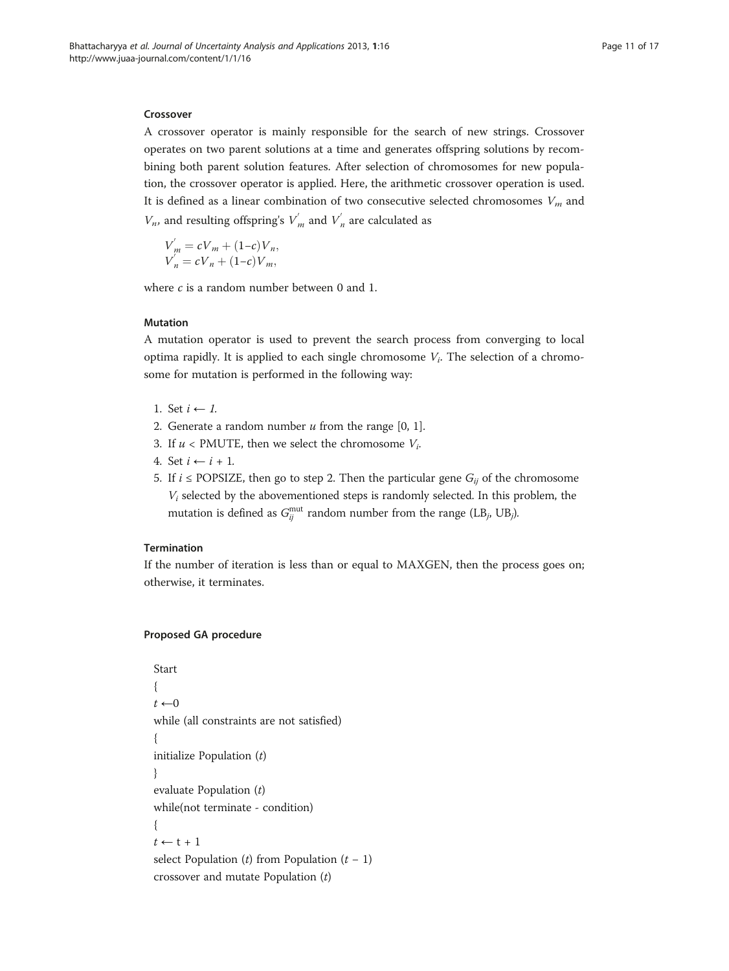# Crossover

A crossover operator is mainly responsible for the search of new strings. Crossover operates on two parent solutions at a time and generates offspring solutions by recombining both parent solution features. After selection of chromosomes for new population, the crossover operator is applied. Here, the arithmetic crossover operation is used. It is defined as a linear combination of two consecutive selected chromosomes  $V_m$  and  $V_n$ , and resulting offspring's  $V'_m$  and  $V'_n$  are calculated as

$$
V'_{m} = cV_{m} + (1-c)V_{n},
$$
  
\n
$$
V'_{n} = cV_{n} + (1-c)V_{m},
$$

where c is a random number between 0 and 1.

# Mutation

A mutation operator is used to prevent the search process from converging to local optima rapidly. It is applied to each single chromosome  $V_i$ . The selection of a chromosome for mutation is performed in the following way:

- 1. Set  $i \leftarrow l$ .
- 2. Generate a random number  $u$  from the range [0, 1].
- 3. If  $u <$  PMUTE, then we select the chromosome  $V_i$ .
- 4. Set  $i \leftarrow i + 1$ .
- 5. If  $i \leq$  POPSIZE, then go to step 2. Then the particular gene  $G_{ij}$  of the chromosome  $V_i$  selected by the abovementioned steps is randomly selected. In this problem, the mutation is defined as  $G_{ij}^{\text{mut}}$  random number from the range (LB<sub>j</sub>, UB<sub>j</sub>).

# Termination

If the number of iteration is less than or equal to MAXGEN, then the process goes on; otherwise, it terminates.

# Proposed GA procedure

```
Start
{
t \leftarrow 0while (all constraints are not satisfied)
{
initialize Population (t)}
evaluate Population (t)
while(not terminate - condition)
{
t \leftarrow t + 1select Population (t) from Population (t - 1)crossover and mutate Population (t)
```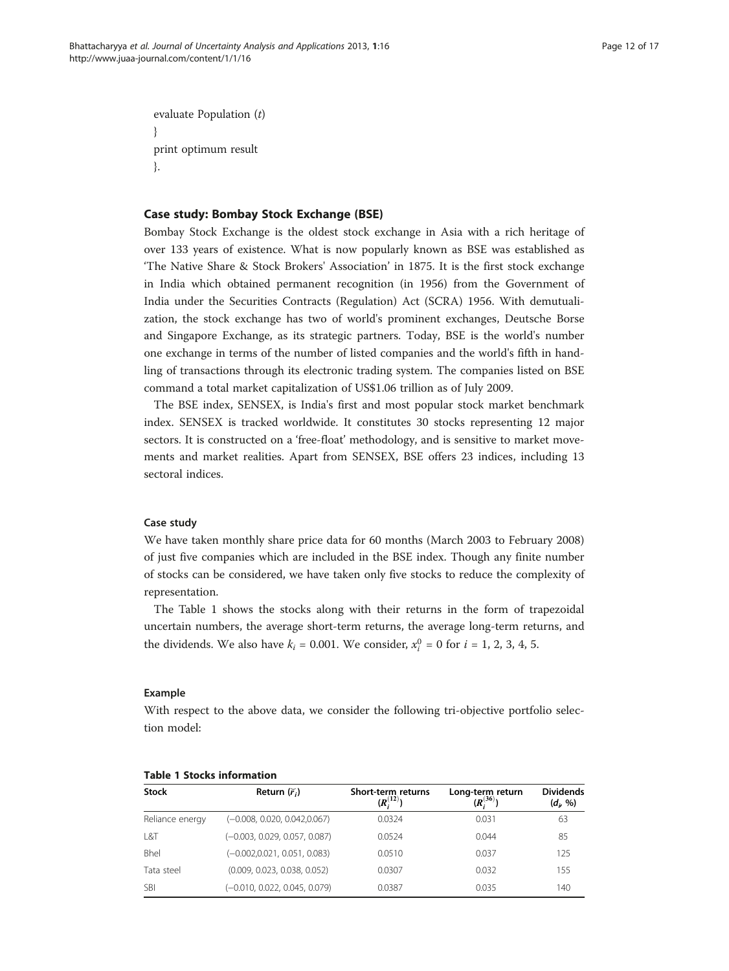<span id="page-11-0"></span>evaluate Population (t) } print optimum result }.

# Case study: Bombay Stock Exchange (BSE)

Bombay Stock Exchange is the oldest stock exchange in Asia with a rich heritage of over 133 years of existence. What is now popularly known as BSE was established as 'The Native Share & Stock Brokers' Association' in 1875. It is the first stock exchange in India which obtained permanent recognition (in 1956) from the Government of India under the Securities Contracts (Regulation) Act (SCRA) 1956. With demutualization, the stock exchange has two of world's prominent exchanges, Deutsche Borse and Singapore Exchange, as its strategic partners. Today, BSE is the world's number one exchange in terms of the number of listed companies and the world's fifth in handling of transactions through its electronic trading system. The companies listed on BSE command a total market capitalization of US\$1.06 trillion as of July 2009.

The BSE index, SENSEX, is India's first and most popular stock market benchmark index. SENSEX is tracked worldwide. It constitutes 30 stocks representing 12 major sectors. It is constructed on a 'free-float' methodology, and is sensitive to market movements and market realities. Apart from SENSEX, BSE offers 23 indices, including 13 sectoral indices.

# Case study

We have taken monthly share price data for 60 months (March 2003 to February 2008) of just five companies which are included in the BSE index. Though any finite number of stocks can be considered, we have taken only five stocks to reduce the complexity of representation.

The Table 1 shows the stocks along with their returns in the form of trapezoidal uncertain numbers, the average short-term returns, the average long-term returns, and the dividends. We also have  $k_i = 0.001$ . We consider,  $x_i^0 = 0$  for  $i = 1, 2, 3, 4, 5$ .

# Example

With respect to the above data, we consider the following tri-objective portfolio selection model:

| <b>Stock</b>    | Return $(\widetilde{r}_i)$      | Short-term returns<br>$(R_i^{(12)}$ | Long-term return<br>$\mathbf{p}^{(36)}$ | <b>Dividends</b><br>$(d_i, 96)$ |
|-----------------|---------------------------------|-------------------------------------|-----------------------------------------|---------------------------------|
| Reliance energy | $(-0.008, 0.020, 0.042, 0.067)$ | 0.0324                              | 0.031                                   | 63                              |
| L&T             | $(-0.003, 0.029, 0.057, 0.087)$ | 0.0524                              | 0.044                                   | 85                              |
| Bhel            | $(-0.002, 0.021, 0.051, 0.083)$ | 0.0510                              | 0.037                                   | 125                             |
| Tata steel      | (0.009, 0.023, 0.038, 0.052)    | 0.0307                              | 0.032                                   | 155                             |
| <b>SBI</b>      | (-0.010, 0.022, 0.045, 0.079)   | 0.0387                              | 0.035                                   | 140                             |

# Table 1 Stocks information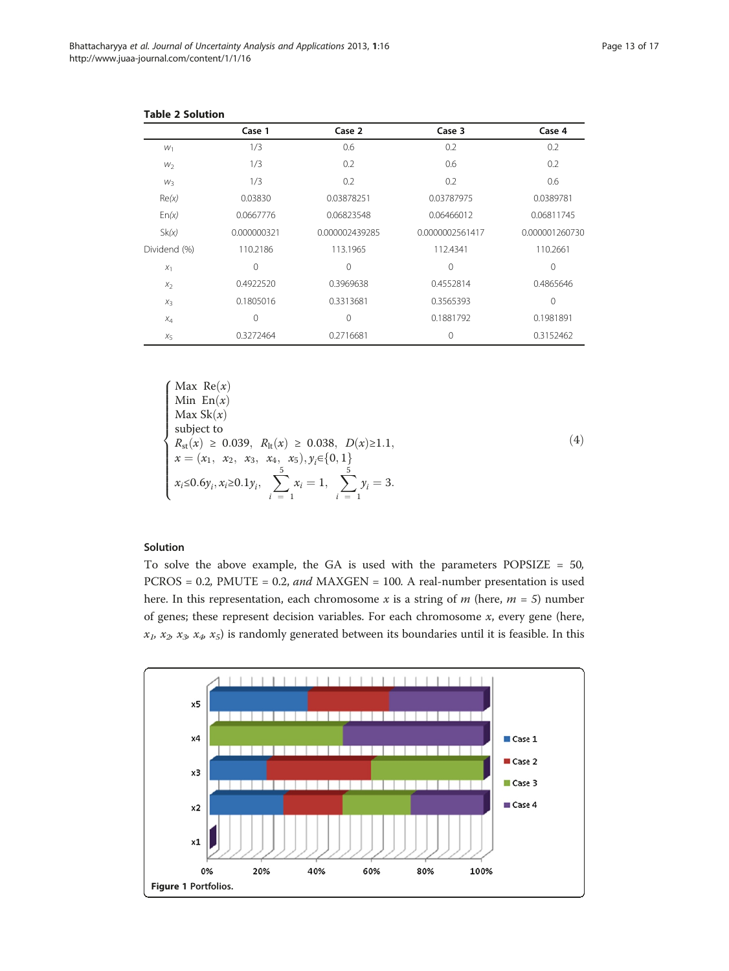|              | Case 1      | Case 2         | Case 3          | Case 4         |
|--------------|-------------|----------------|-----------------|----------------|
| $W_1$        | 1/3         | 0.6            | 0.2             | 0.2            |
| $W_2$        | 1/3         | 0.2            | 0.6             | 0.2            |
| $W_3$        | 1/3         | 0.2            | 0.2             | 0.6            |
| Re(x)        | 0.03830     | 0.03878251     | 0.03787975      | 0.0389781      |
| En(x)        | 0.0667776   | 0.06823548     | 0.06466012      | 0.06811745     |
| Sk(x)        | 0.000000321 | 0.000002439285 | 0.0000002561417 | 0.000001260730 |
| Dividend (%) | 110.2186    | 113.1965       | 112.4341        | 110.2661       |
| $X_1$        | $\Omega$    | 0              | $\Omega$        | $\mathbf{0}$   |
| $X_2$        | 0.4922520   | 0.3969638      | 0.4552814       | 0.4865646      |
| $X_3$        | 0.1805016   | 0.3313681      | 0.3565393       | $\Omega$       |
| $X_4$        | $\Omega$    | $\mathbf{0}$   | 0.1881792       | 0.1981891      |
| $X_{5}$      | 0.3272464   | 0.2716681      | 0               | 0.3152462      |

<span id="page-12-0"></span>Table 2 Solution

$$
\begin{cases}\n\text{Max Re}(x) \\
\text{Min En}(x) \\
\text{Max Sk}(x) \\
\text{subject to} \\
R_{\text{st}}(x) \ge 0.039, \ R_{\text{lt}}(x) \ge 0.038, \ D(x) \ge 1.1, \\
x = (x_1, x_2, x_3, x_4, x_5), y_i \in \{0, 1\} \\
\text{for } x_i \le 0.6 \ y_i, x_i \ge 0.1 \ y_i, \ \sum_{i=1}^{5} x_i = 1, \ \sum_{i=1}^{5} y_i = 3.\n\end{cases}
$$

# $(4)$

# Solution

To solve the above example, the GA is used with the parameters POPSIZE = 50, PCROS = 0.2, PMUTE = 0.2, and MAXGEN = 100. A real-number presentation is used here. In this representation, each chromosome x is a string of  $m$  (here,  $m = 5$ ) number of genes; these represent decision variables. For each chromosome  $x$ , every gene (here,  $x_1, x_2, x_3, x_4, x_5$ ) is randomly generated between its boundaries until it is feasible. In this

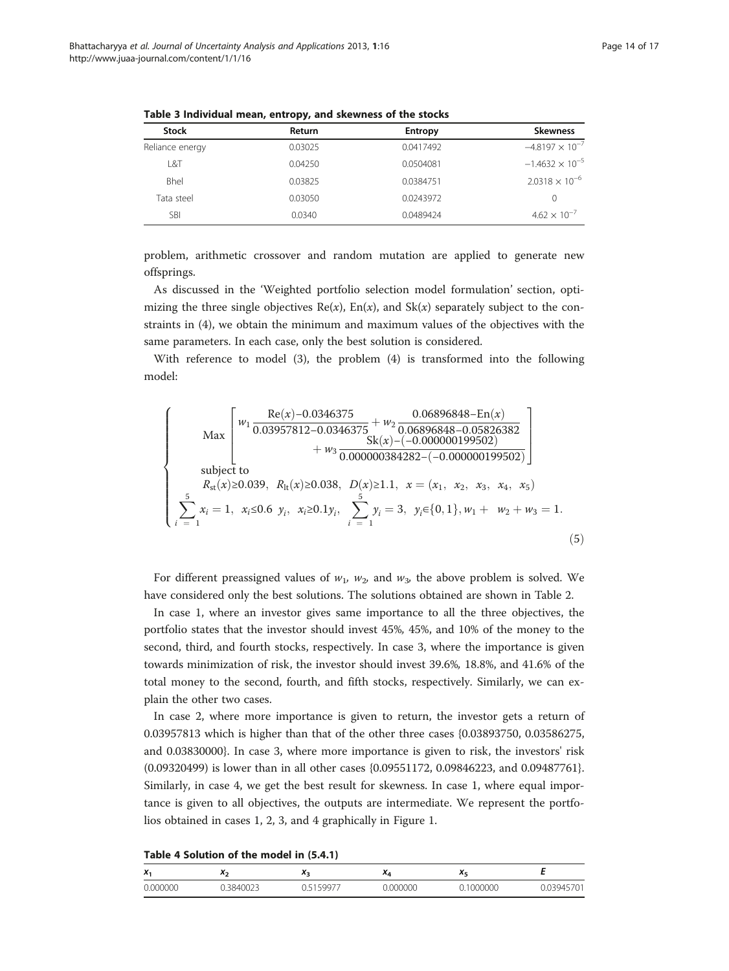| <b>Stock</b>    | Return  | <b>Entropy</b> | <b>Skewness</b>          |
|-----------------|---------|----------------|--------------------------|
| Reliance energy | 0.03025 | 0.0417492      | $-4.8197 \times 10^{-7}$ |
| L&T             | 0.04250 | 0.0504081      | $-1.4632 \times 10^{-5}$ |
| <b>Bhel</b>     | 0.03825 | 0.0384751      | $2.0318 \times 10^{-6}$  |
| Tata steel      | 0.03050 | 0.0243972      | 0                        |
| <b>SBI</b>      | 0.0340  | 0.0489424      | $4.62 \times 10^{-7}$    |

<span id="page-13-0"></span>Table 3 Individual mean, entropy, and skewness of the stocks

problem, arithmetic crossover and random mutation are applied to generate new offsprings.

As discussed in the '[Weighted portfolio selection model formulation](#page-8-0)' section, optimizing the three single objectives  $Re(x)$ ,  $En(x)$ , and  $Sk(x)$  separately subject to the constraints in (4), we obtain the minimum and maximum values of the objectives with the same parameters. In each case, only the best solution is considered.

With reference to model (3), the problem (4) is transformed into the following model:

$$
\begin{cases}\n\text{Max} \left[ \begin{array}{ccc} \n w_1 \frac{\text{Re}(x) - 0.0346375}{0.03957812 - 0.0346375} + w_2 \frac{0.06896848 - \text{En}(x)}{0.06896848 - 0.05826382} \\ \n & 5k(x) - (-0.000000199502) \end{array} \right] \\
\text{subject to} \\
R_{st}(x) \ge 0.039, \ R_{lt}(x) \ge 0.038, \ D(x) \ge 1.1, \ x = (x_1, x_2, x_3, x_4, x_5) \\
\sum_{i=1}^{5} x_i = 1, \ x_i \le 0.6 \ y_i, \ x_i \ge 0.1 y_i, \ \sum_{i=1}^{5} y_i = 3, \ y_i \in \{0, 1\}, w_1 + w_2 + w_3 = 1.\n\end{cases} (5)\n\end{cases}
$$

For different preassigned values of  $w_1$ ,  $w_2$ , and  $w_3$ , the above problem is solved. We have considered only the best solutions. The solutions obtained are shown in Table [2.](#page-12-0)

In case 1, where an investor gives same importance to all the three objectives, the portfolio states that the investor should invest 45%, 45%, and 10% of the money to the second, third, and fourth stocks, respectively. In case 3, where the importance is given towards minimization of risk, the investor should invest 39.6%, 18.8%, and 41.6% of the total money to the second, fourth, and fifth stocks, respectively. Similarly, we can explain the other two cases.

In case 2, where more importance is given to return, the investor gets a return of 0.03957813 which is higher than that of the other three cases {0.03893750, 0.03586275, and 0.03830000}. In case 3, where more importance is given to risk, the investors' risk (0.09320499) is lower than in all other cases {0.09551172, 0.09846223, and 0.09487761}. Similarly, in case 4, we get the best result for skewness. In case 1, where equal importance is given to all objectives, the outputs are intermediate. We represent the portfolios obtained in cases 1, 2, 3, and 4 graphically in Figure [1](#page-12-0).

| $X_1$    | . . | ~                                         | $\mathbf{v}$ | — |
|----------|-----|-------------------------------------------|--------------|---|
| 2.000000 |     | $\sim$ $\sim$ $\sim$<br>. זרורי<br>$\cap$ | 2000<br>10 M |   |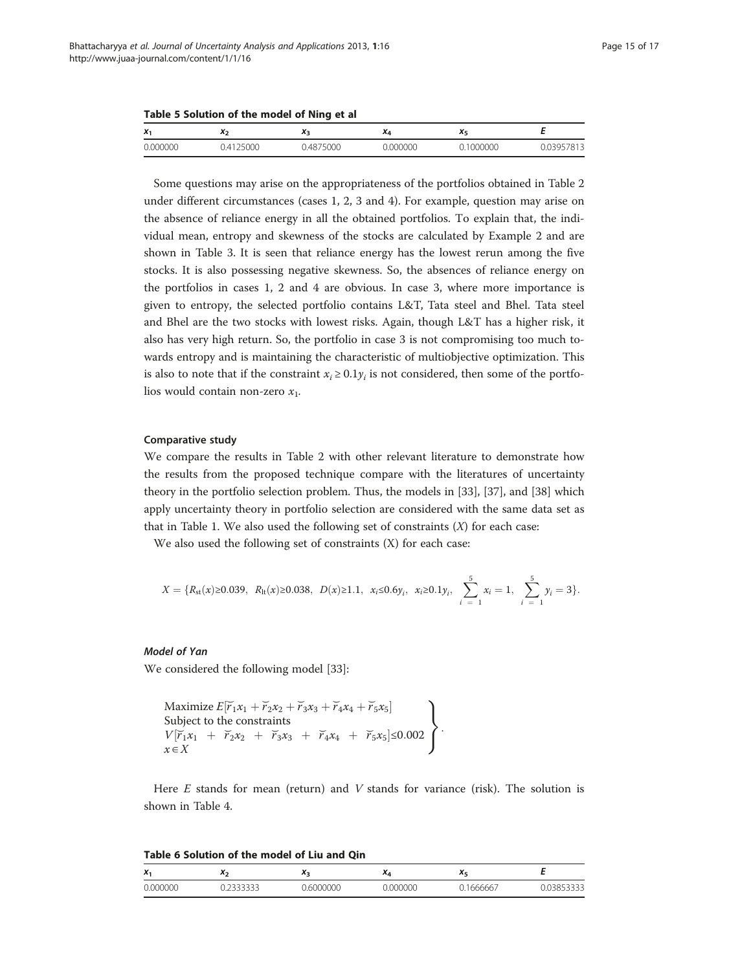<span id="page-14-0"></span>Table 5 Solution of the model of Ning et al

| $X_1$    |                | $\mathbf{r}$ | $\mathbf{v}$ | $\mathbf{A}$ |                |
|----------|----------------|--------------|--------------|--------------|----------------|
| 0.000000 | 25000<br>41. ل | 0.4875000    | 0.000000     | 1000000      | 0.03957<br>813 |

Some questions may arise on the appropriateness of the portfolios obtained in Table [2](#page-12-0) under different circumstances (cases 1, 2, 3 and 4). For example, question may arise on the absence of reliance energy in all the obtained portfolios. To explain that, the individual mean, entropy and skewness of the stocks are calculated by Example [2](#page-4-0) and are shown in Table [3](#page-13-0). It is seen that reliance energy has the lowest rerun among the five stocks. It is also possessing negative skewness. So, the absences of reliance energy on the portfolios in cases 1, 2 and 4 are obvious. In case 3, where more importance is given to entropy, the selected portfolio contains L&T, Tata steel and Bhel. Tata steel and Bhel are the two stocks with lowest risks. Again, though L&T has a higher risk, it also has very high return. So, the portfolio in case 3 is not compromising too much towards entropy and is maintaining the characteristic of multiobjective optimization. This is also to note that if the constraint  $x_i \ge 0.1y_i$  is not considered, then some of the portfolios would contain non-zero  $x_1$ .

# Comparative study

We compare the results in Table [2](#page-12-0) with other relevant literature to demonstrate how the results from the proposed technique compare with the literatures of uncertainty theory in the portfolio selection problem. Thus, the models in [\[33](#page-16-0)], [\[37](#page-16-0)], and [\[38](#page-16-0)] which apply uncertainty theory in portfolio selection are considered with the same data set as that in Table [1.](#page-11-0) We also used the following set of constraints  $(X)$  for each case:

We also used the following set of constraints (X) for each case:

$$
X = \{R_{st}(x) \ge 0.039, R_{lt}(x) \ge 0.038, D(x) \ge 1.1, x_i \le 0.6y_i, x_i \ge 0.1y_i, \sum_{i=1}^{5} x_i = 1, \sum_{i=1}^{5} y_i = 3\}.
$$

# Model of Yan

We considered the following model [\[33](#page-16-0)]:

Maximize 
$$
E[\overline{r}_1x_1 + \overline{r}_2x_2 + \overline{r}_3x_3 + \overline{r}_4x_4 + \overline{r}_5x_5]
$$
  
Subject to the constraints  
 $V[\overline{r}_1x_1 + \overline{r}_2x_2 + \overline{r}_3x_3 + \overline{r}_4x_4 + \overline{r}_5x_5] \le 0.002$   
 $x \in X$ 

Here  $E$  stands for mean (return) and  $V$  stands for variance (risk). The solution is shown in Table [4.](#page-13-0)

| Table 6 Solution of the model of Liu and Qin |  |  |
|----------------------------------------------|--|--|
|----------------------------------------------|--|--|

| $X_1$    |     |                | <u>ла</u> |      |                               |
|----------|-----|----------------|-----------|------|-------------------------------|
| 0.000000 | --- | ററററ<br>$\sim$ | 000000    | $ -$ | $\sim$ $\sim$ $\sim$<br>, , , |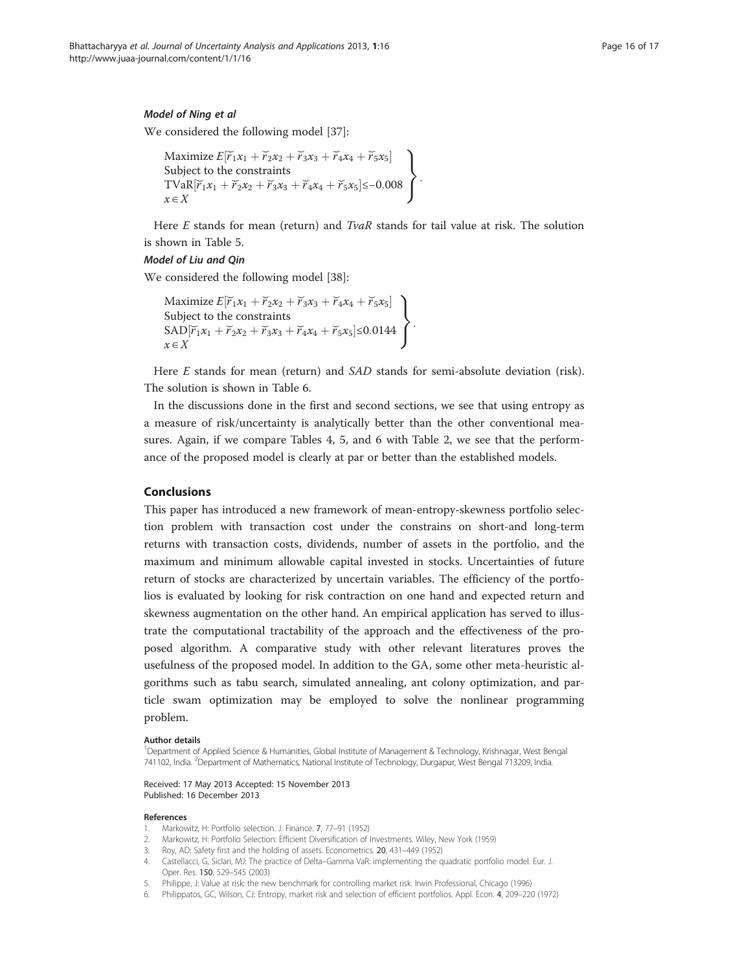# <span id="page-15-0"></span>Model of Ning et al

We considered the following model [\[37](#page-16-0)]:

```
Maximize E[\tilde{r}_1x_1 + \tilde{r}_2x_2 + \tilde{r}_3x_3 + \tilde{r}_4x_4 + \tilde{r}_5x_5]<br>Subject to the constraints
 Subject to the constraints
 \text{TVaR}[\tilde{r}_1x_1 + \tilde{r}_2x_2 + \tilde{r}_3x_3 + \tilde{r}_4x_4 + \tilde{r}_5x_5] \leq -0.008x \in X\mathcal{L}
```
Here E stands for mean (return) and  $Tv$ aR stands for tail value at risk. The solution is shown in Table [5](#page-14-0).

:

# Model of Liu and Qin

We considered the following model [\[38](#page-16-0)]:

Maximize  $E[\tilde{r}_1x_1 + \tilde{r}_2x_2 + \tilde{r}_3x_3 + \tilde{r}_4x_4 + \tilde{r}_5x_5]$ <br>Subject to the constraints Subject to the constraints  $SAD[\tilde{r}_1x_1 + \tilde{r}_2x_2 + \tilde{r}_3x_3 + \tilde{r}_4x_4 + \tilde{r}_5x_5] \le 0.0144$  $x \in X$  $\mathcal{L}$ :

Here  $E$  stands for mean (return) and  $SAD$  stands for semi-absolute deviation (risk). The solution is shown in Table [6](#page-14-0).

In the discussions done in the first and second sections, we see that using entropy as a measure of risk/uncertainty is analytically better than the other conventional measures. Again, if we compare Tables [4,](#page-13-0) [5,](#page-14-0) and [6](#page-14-0) with Table [2](#page-12-0), we see that the performance of the proposed model is clearly at par or better than the established models.

# Conclusions

This paper has introduced a new framework of mean-entropy-skewness portfolio selection problem with transaction cost under the constrains on short-and long-term returns with transaction costs, dividends, number of assets in the portfolio, and the maximum and minimum allowable capital invested in stocks. Uncertainties of future return of stocks are characterized by uncertain variables. The efficiency of the portfolios is evaluated by looking for risk contraction on one hand and expected return and skewness augmentation on the other hand. An empirical application has served to illustrate the computational tractability of the approach and the effectiveness of the proposed algorithm. A comparative study with other relevant literatures proves the usefulness of the proposed model. In addition to the GA, some other meta-heuristic algorithms such as tabu search, simulated annealing, ant colony optimization, and particle swam optimization may be employed to solve the nonlinear programming problem.

## Author details

1 Department of Applied Science & Humanities, Global Institute of Management & Technology, Krishnagar, West Bengal 741102, India. <sup>2</sup>Department of Mathematics, National Institute of Technology, Durgapur, West Bengal 713209, India.

# Received: 17 May 2013 Accepted: 15 November 2013 Published: 16 December 2013

#### References

- 1. Markowitz, H: Portfolio selection. J. Finance. 7, 77–91 (1952)
- 2. Markowitz, H: Portfolio Selection: Efficient Diversification of Investments. Wiley, New York (1959)
- 3. Roy, AD: Safety first and the holding of assets. Econometrics. 20, 431–449 (1952)
- 4. Castellacci, G, Siclari, MJ: The practice of Delta–Gamma VaR: implementing the quadratic portfolio model. Eur. J. Oper. Res. 150, 529–545 (2003)
- 5. Philippe, J: Value at risk: the new benchmark for controlling market risk. Irwin Professional, Chicago (1996)
- 6. Philippatos, GC, Wilson, CJ: Entropy, market risk and selection of efficient portfolios. Appl. Econ. 4, 209–220 (1972)